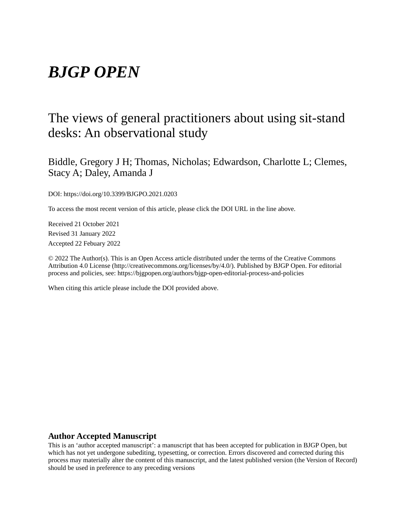# *BJGP OPEN*

## The views of general practitioners about using sit-stand desks: An observational study

Biddle, Gregory J H; Thomas, Nicholas; Edwardson, Charlotte L; Clemes, Stacy A; Daley, Amanda J

DOI: https://doi.org/10.3399/BJGPO.2021.0203

To access the most recent version of this article, please click the DOI URL in the line above.

Received 21 October 2021 Revised 31 January 2022 Accepted 22 Febuary 2022

© 2022 The Author(s). This is an Open Access article distributed under the terms of the Creative Commons Attribution 4.0 License (http://creativecommons.org/licenses/by/4.0/). Published by BJGP Open. For editorial process and policies, see: https://bjgpopen.org/authors/bjgp-open-editorial-process-and-policies

When citing this article please include the DOI provided above.

## **Author Accepted Manuscript**

This is an 'author accepted manuscript': a manuscript that has been accepted for publication in BJGP Open, but which has not yet undergone subediting, typesetting, or correction. Errors discovered and corrected during this process may materially alter the content of this manuscript, and the latest published version (the Version of Record) should be used in preference to any preceding versions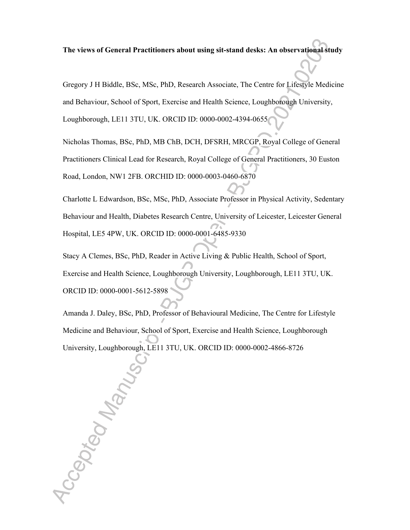**The views of General Practitioners about using sit-stand desks: An observational study** 

Gregory J H Biddle, BSc, MSc, PhD, Research Associate, The Centre for Lifestyle Medicine and Behaviour, School of Sport, Exercise and Health Science, Loughborough University, Loughborough, LE11 3TU, UK. ORCID ID: 0000-0002-4394-0655

Nicholas Thomas, BSc, PhD, MB ChB, DCH, DFSRH, MRCGP, Royal College of General Practitioners Clinical Lead for Research, Royal College of General Practitioners, 30 Euston Road, London, NW1 2FB. ORCHID ID: 0000-0003-0460-6870

Charlotte L Edwardson, BSc, MSc, PhD, Associate Professor in Physical Activity, Sedentary Behaviour and Health, Diabetes Research Centre, University of Leicester, Leicester General Hospital, LE5 4PW, UK. ORCID ID: 0000-0001-6485-9330

Stacy A Clemes, BSc, PhD, Reader in Active Living & Public Health, School of Sport, Exercise and Health Science, Loughborough University, Loughborough, LE11 3TU, UK. ORCID ID: 0000-0001-5612-5898

Amanda J. Daley, BSc, PhD, Professor of Behavioural Medicine, The Centre for Lifestyle Medicine and Behaviour, School of Sport, Exercise and Health Science, Loughborough University, Loughborough, LE11 3TU, UK. ORCID ID: 0000-0002-4866-8726

Accepted Manus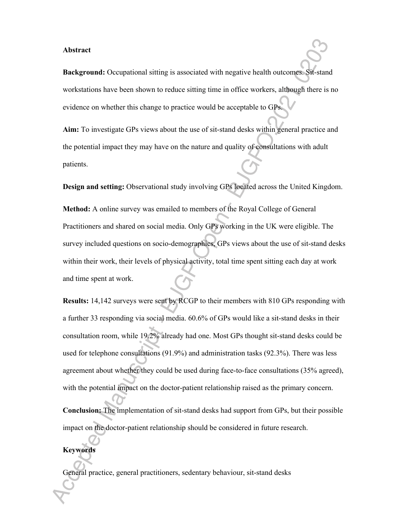#### **Abstract**

**Background:** Occupational sitting is associated with negative health outcomes. Sit-stand workstations have been shown to reduce sitting time in office workers, although there is no evidence on whether this change to practice would be acceptable to GPs.

**Aim:** To investigate GPs views about the use of sit-stand desks within general practice and the potential impact they may have on the nature and quality of consultations with adult patients.

**Design and setting:** Observational study involving GPs located across the United Kingdom.

**Method:** A online survey was emailed to members of the Royal College of General Practitioners and shared on social media. Only GPs working in the UK were eligible. The survey included questions on socio-demographics, GPs views about the use of sit-stand desks within their work, their levels of physical activity, total time spent sitting each day at work and time spent at work.

**Results:** 14,142 surveys were sent by RCGP to their members with 810 GPs responding with a further 33 responding via social media. 60.6% of GPs would like a sit-stand desks in their consultation room, while 19.2% already had one. Most GPs thought sit-stand desks could be used for telephone consultations (91.9%) and administration tasks (92.3%). There was less agreement about whether they could be used during face-to-face consultations (35% agreed), with the potential impact on the doctor-patient relationship raised as the primary concern.

**Conclusion:** The implementation of sit-stand desks had support from GPs, but their possible impact on the doctor-patient relationship should be considered in future research.

## **Keywords**

General practice, general practitioners, sedentary behaviour, sit-stand desks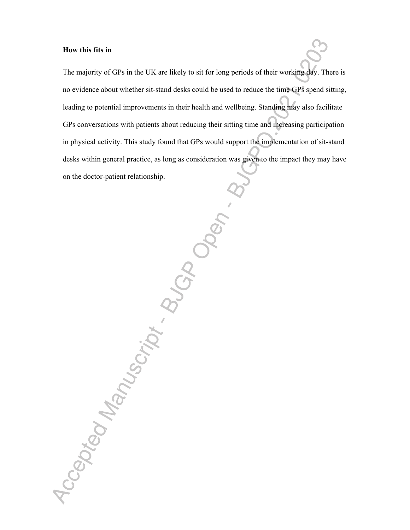## **How this fits in**

Accepted Manuscript BuCADO

The majority of GPs in the UK are likely to sit for long periods of their working day. There is no evidence about whether sit-stand desks could be used to reduce the time GPs spend sitting, leading to potential improvements in their health and wellbeing. Standing may also facilitate GPs conversations with patients about reducing their sitting time and increasing participation in physical activity. This study found that GPs would support the implementation of sit-stand desks within general practice, as long as consideration was given to the impact they may have on the doctor-patient relationship.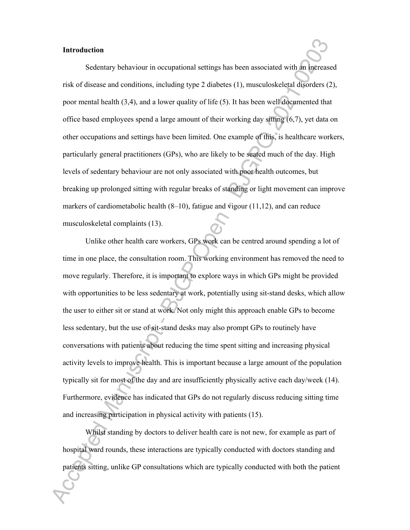#### **Introduction**

Sedentary behaviour in occupational settings has been associated with an increased risk of disease and conditions, including type 2 diabetes (1), musculoskeletal disorders (2), poor mental health (3,4), and a lower quality of life (5). It has been well documented that office based employees spend a large amount of their working day sitting (6,7), yet data on other occupations and settings have been limited. One example of this, is healthcare workers, particularly general practitioners (GPs), who are likely to be seated much of the day. High levels of sedentary behaviour are not only associated with poor health outcomes, but breaking up prolonged sitting with regular breaks of standing or light movement can improve markers of cardiometabolic health (8–10), fatigue and vigour (11,12), and can reduce musculoskeletal complaints (13).

Unlike other health care workers, GPs work can be centred around spending a lot of time in one place, the consultation room. This working environment has removed the need to move regularly. Therefore, it is important to explore ways in which GPs might be provided with opportunities to be less sedentary at work, potentially using sit-stand desks, which allow the user to either sit or stand at work. Not only might this approach enable GPs to become less sedentary, but the use of sit-stand desks may also prompt GPs to routinely have conversations with patients about reducing the time spent sitting and increasing physical activity levels to improve health. This is important because a large amount of the population typically sit for most of the day and are insufficiently physically active each day/week (14). Furthermore, evidence has indicated that GPs do not regularly discuss reducing sitting time and increasing participation in physical activity with patients (15).

Whilst standing by doctors to deliver health care is not new, for example as part of hospital ward rounds, these interactions are typically conducted with doctors standing and patients sitting, unlike GP consultations which are typically conducted with both the patient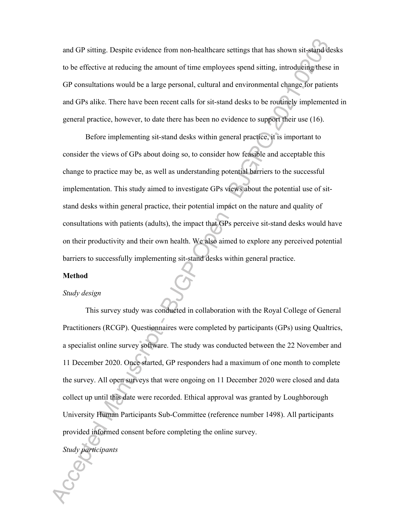and GP sitting. Despite evidence from non-healthcare settings that has shown sit-stand desks to be effective at reducing the amount of time employees spend sitting, introducing these in GP consultations would be a large personal, cultural and environmental change for patients and GPs alike. There have been recent calls for sit-stand desks to be routinely implemented in general practice, however, to date there has been no evidence to support their use (16).

Before implementing sit-stand desks within general practice, it is important to consider the views of GPs about doing so, to consider how feasible and acceptable this change to practice may be, as well as understanding potential barriers to the successful implementation. This study aimed to investigate GPs views about the potential use of sitstand desks within general practice, their potential impact on the nature and quality of consultations with patients (adults), the impact that GPs perceive sit-stand desks would have on their productivity and their own health. We also aimed to explore any perceived potential barriers to successfully implementing sit-stand desks within general practice.

## **Method**

#### *Study design*

This survey study was conducted in collaboration with the Royal College of General Practitioners (RCGP). Questionnaires were completed by participants (GPs) using Qualtrics, a specialist online survey software. The study was conducted between the 22 November and 11 December 2020. Once started, GP responders had a maximum of one month to complete the survey. All open surveys that were ongoing on 11 December 2020 were closed and data collect up until this date were recorded. Ethical approval was granted by Loughborough University Human Participants Sub-Committee (reference number 1498). All participants provided informed consent before completing the online survey.

*Study participants*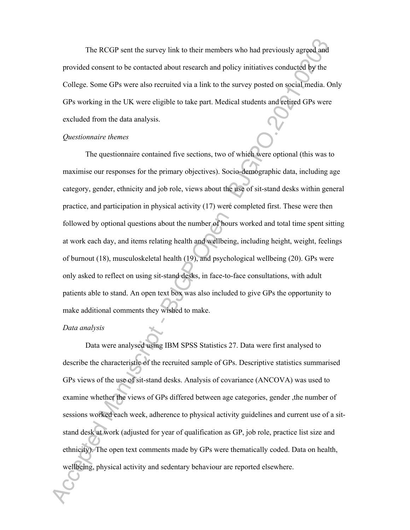The RCGP sent the survey link to their members who had previously agreed and provided consent to be contacted about research and policy initiatives conducted by the College. Some GPs were also recruited via a link to the survey posted on social media. Only GPs working in the UK were eligible to take part. Medical students and retired GPs were excluded from the data analysis.

## *Questionnaire themes*

The questionnaire contained five sections, two of which were optional (this was to maximise our responses for the primary objectives). Socio-demographic data, including age category, gender, ethnicity and job role, views about the use of sit-stand desks within general practice, and participation in physical activity (17) were completed first. These were then followed by optional questions about the number of hours worked and total time spent sitting at work each day, and items relating health and wellbeing, including height, weight, feelings of burnout (18), musculoskeletal health (19), and psychological wellbeing (20). GPs were only asked to reflect on using sit-stand desks, in face-to-face consultations, with adult patients able to stand. An open text box was also included to give GPs the opportunity to make additional comments they wished to make.

## *Data analysis*

Data were analysed using IBM SPSS Statistics 27. Data were first analysed to describe the characteristic of the recruited sample of GPs. Descriptive statistics summarised GPs views of the use of sit-stand desks. Analysis of covariance (ANCOVA) was used to examine whether the views of GPs differed between age categories, gender ,the number of sessions worked each week, adherence to physical activity guidelines and current use of a sitstand desk at work (adjusted for year of qualification as GP, job role, practice list size and ethnicity). The open text comments made by GPs were thematically coded. Data on health, wellbeing, physical activity and sedentary behaviour are reported elsewhere.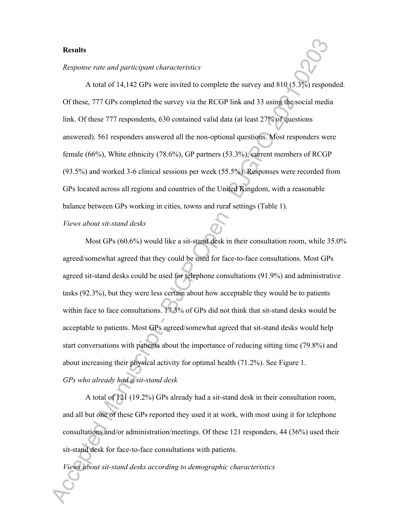## **Results**

#### *Response rate and participant characteristics*

A total of 14,142 GPs were invited to complete the survey and 810 (5.3%) responded. Of these, 777 GPs completed the survey via the RCGP link and 33 using the social media link. Of these 777 respondents, 630 contained valid data (at least 27% of questions answered). 561 responders answered all the non-optional questions. Most responders were female (66%), White ethnicity (78.6%), GP partners (53.3%), current members of RCGP (93.5%) and worked 3-6 clinical sessions per week (55.5%). Responses were recorded from GPs located across all regions and countries of the United Kingdom, with a reasonable balance between GPs working in cities, towns and rural settings (Table 1).

#### *Views about sit-stand desks*

Most GPs (60.6%) would like a sit-stand desk in their consultation room, while 35.0% agreed/somewhat agreed that they could be used for face-to-face consultations. Most GPs agreed sit-stand desks could be used for telephone consultations (91.9%) and administrative tasks (92.3%), but they were less certain about how acceptable they would be to patients within face to face consultations. 17.3% of GPs did not think that sit-stand desks would be acceptable to patients. Most GPs agreed/somewhat agreed that sit-stand desks would help start conversations with patients about the importance of reducing sitting time (79.8%) and about increasing their physical activity for optimal health (71.2%). See Figure 1. *GPs who already had a sit-stand desk*

A total of 121 (19.2%) GPs already had a sit-stand desk in their consultation room, and all but one of these GPs reported they used it at work, with most using it for telephone consultations and/or administration/meetings. Of these 121 responders, 44 (36%) used their sit-stand desk for face-to-face consultations with patients.

*Views about sit-stand desks according to demographic characteristics*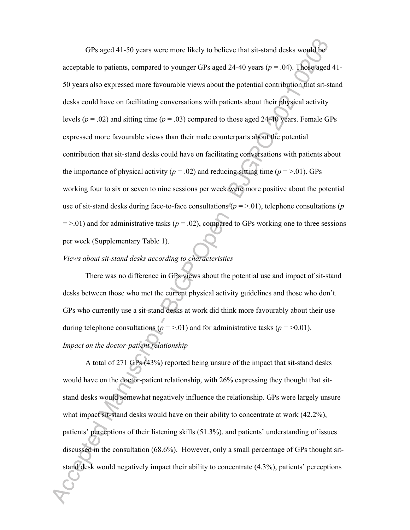GPs aged 41-50 years were more likely to believe that sit-stand desks would be acceptable to patients, compared to younger GPs aged 24-40 years ( $p = .04$ ). Those aged 41-50 years also expressed more favourable views about the potential contribution that sit-stand desks could have on facilitating conversations with patients about their physical activity levels ( $p = .02$ ) and sitting time ( $p = .03$ ) compared to those aged 24-40 years. Female GPs expressed more favourable views than their male counterparts about the potential contribution that sit-stand desks could have on facilitating conversations with patients about the importance of physical activity ( $p = .02$ ) and reducing sitting time ( $p = > .01$ ). GPs working four to six or seven to nine sessions per week were more positive about the potential use of sit-stand desks during face-to-face consultations ( $p = > .01$ ), telephone consultations ( $p$ )  $=$  >.01) and for administrative tasks ( $p = .02$ ), compared to GPs working one to three sessions per week (Supplementary Table 1).

## *Views about sit-stand desks according to characteristics*

There was no difference in GPs views about the potential use and impact of sit-stand desks between those who met the current physical activity guidelines and those who don't. GPs who currently use a sit-stand desks at work did think more favourably about their use during telephone consultations ( $p = > 0.01$ ) and for administrative tasks ( $p = > 0.01$ ).

## *Impact on the doctor-patient relationship*

A total of 271 GPs (43%) reported being unsure of the impact that sit-stand desks would have on the doctor-patient relationship, with 26% expressing they thought that sitstand desks would somewhat negatively influence the relationship. GPs were largely unsure what impact sit-stand desks would have on their ability to concentrate at work (42.2%), patients' perceptions of their listening skills (51.3%), and patients' understanding of issues discussed in the consultation (68.6%). However, only a small percentage of GPs thought sitstand desk would negatively impact their ability to concentrate (4.3%), patients' perceptions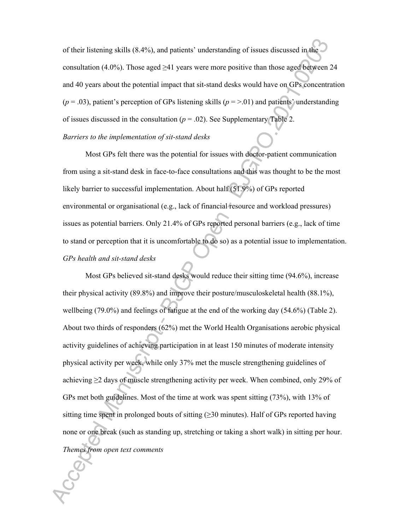of their listening skills (8.4%), and patients' understanding of issues discussed in the consultation (4.0%). Those aged  $\geq 41$  years were more positive than those aged between 24 and 40 years about the potential impact that sit-stand desks would have on GPs concentration  $(p = .03)$ , patient's perception of GPs listening skills  $(p = > .01)$  and patients' understanding of issues discussed in the consultation  $(p = .02)$ . See Supplementary Table 2. *Barriers to the implementation of sit-stand desks*

Most GPs felt there was the potential for issues with doctor-patient communication from using a sit-stand desk in face-to-face consultations and this was thought to be the most likely barrier to successful implementation. About half (51.9%) of GPs reported environmental or organisational (e.g., lack of financial resource and workload pressures) issues as potential barriers. Only 21.4% of GPs reported personal barriers (e.g., lack of time to stand or perception that it is uncomfortable to do so) as a potential issue to implementation. *GPs health and sit-stand desks*

Most GPs believed sit-stand desks would reduce their sitting time (94.6%), increase their physical activity (89.8%) and improve their posture/musculoskeletal health (88.1%), wellbeing (79.0%) and feelings of fatigue at the end of the working day (54.6%) (Table 2). About two thirds of responders (62%) met the World Health Organisations aerobic physical activity guidelines of achieving participation in at least 150 minutes of moderate intensity physical activity per week, while only 37% met the muscle strengthening guidelines of achieving  $\geq$  2 days of muscle strengthening activity per week. When combined, only 29% of GPs met both guidelines. Most of the time at work was spent sitting (73%), with 13% of sitting time spent in prolonged bouts of sitting  $(\geq 30 \text{ minutes})$ . Half of GPs reported having none or one break (such as standing up, stretching or taking a short walk) in sitting per hour. *Themes from open text comments*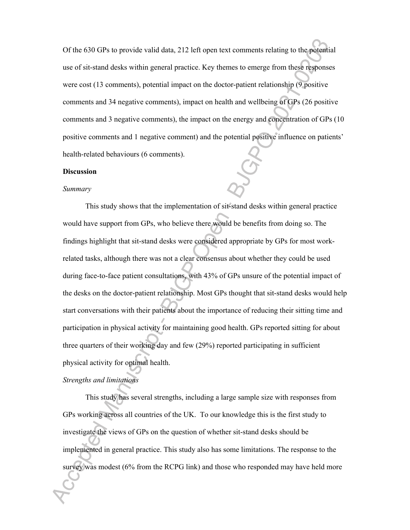Of the 630 GPs to provide valid data, 212 left open text comments relating to the potential use of sit-stand desks within general practice. Key themes to emerge from these responses were cost (13 comments), potential impact on the doctor-patient relationship (9 positive comments and 34 negative comments), impact on health and wellbeing of GPs (26 positive comments and 3 negative comments), the impact on the energy and concentration of GPs (10 positive comments and 1 negative comment) and the potential positive influence on patients' health-related behaviours (6 comments).

#### **Discussion**

## *Summary*

This study shows that the implementation of sit-stand desks within general practice would have support from GPs, who believe there would be benefits from doing so. The findings highlight that sit-stand desks were considered appropriate by GPs for most workrelated tasks, although there was not a clear consensus about whether they could be used during face-to-face patient consultations, with 43% of GPs unsure of the potential impact of the desks on the doctor-patient relationship. Most GPs thought that sit-stand desks would help start conversations with their patients about the importance of reducing their sitting time and participation in physical activity for maintaining good health. GPs reported sitting for about three quarters of their working day and few (29%) reported participating in sufficient physical activity for optimal health.

## *Strengths and limitations*

This study has several strengths, including a large sample size with responses from GPs working across all countries of the UK. To our knowledge this is the first study to investigate the views of GPs on the question of whether sit-stand desks should be implemented in general practice. This study also has some limitations. The response to the survey was modest (6% from the RCPG link) and those who responded may have held more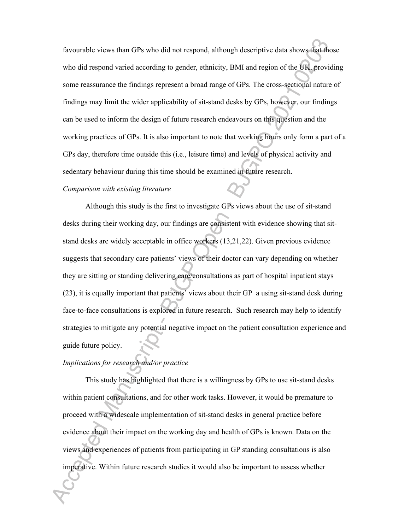favourable views than GPs who did not respond, although descriptive data shows that those who did respond varied according to gender, ethnicity, BMI and region of the UK, providing some reassurance the findings represent a broad range of GPs. The cross-sectional nature of findings may limit the wider applicability of sit-stand desks by GPs, however, our findings can be used to inform the design of future research endeavours on this question and the working practices of GPs. It is also important to note that working hours only form a part of a GPs day, therefore time outside this (i.e., leisure time) and levels of physical activity and sedentary behaviour during this time should be examined in future research.

#### *Comparison with existing literature*

Although this study is the first to investigate GPs views about the use of sit-stand desks during their working day, our findings are consistent with evidence showing that sitstand desks are widely acceptable in office workers (13,21,22). Given previous evidence suggests that secondary care patients' views of their doctor can vary depending on whether they are sitting or standing delivering care/consultations as part of hospital inpatient stays (23), it is equally important that patients' views about their GP a using sit-stand desk during face-to-face consultations is explored in future research. Such research may help to identify strategies to mitigate any potential negative impact on the patient consultation experience and guide future policy.

## *Implications for research and/or practice*

This study has highlighted that there is a willingness by GPs to use sit-stand desks within patient consultations, and for other work tasks. However, it would be premature to proceed with a widescale implementation of sit-stand desks in general practice before evidence about their impact on the working day and health of GPs is known. Data on the views and experiences of patients from participating in GP standing consultations is also imperative. Within future research studies it would also be important to assess whether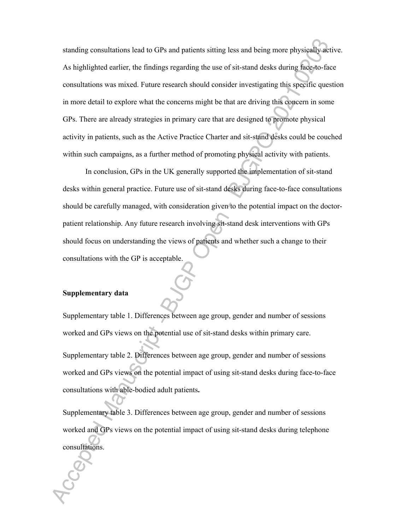standing consultations lead to GPs and patients sitting less and being more physically active. As highlighted earlier, the findings regarding the use of sit-stand desks during face-to-face consultations was mixed. Future research should consider investigating this specific question in more detail to explore what the concerns might be that are driving this concern in some GPs. There are already strategies in primary care that are designed to promote physical activity in patients, such as the Active Practice Charter and sit-stand desks could be couched within such campaigns, as a further method of promoting physical activity with patients.

In conclusion, GPs in the UK generally supported the implementation of sit-stand desks within general practice. Future use of sit-stand desks during face-to-face consultations should be carefully managed, with consideration given to the potential impact on the doctorpatient relationship. Any future research involving sit-stand desk interventions with GPs should focus on understanding the views of patients and whether such a change to their consultations with the GP is acceptable.

## **Supplementary data**

Supplementary table 1. Differences between age group, gender and number of sessions worked and GPs views on the potential use of sit-stand desks within primary care. Supplementary table 2. Differences between age group, gender and number of sessions worked and GPs views on the potential impact of using sit-stand desks during face-to-face

consultations with able-bodied adult patients**.**

Supplementary table 3. Differences between age group, gender and number of sessions worked and GPs views on the potential impact of using sit-stand desks during telephone consultations.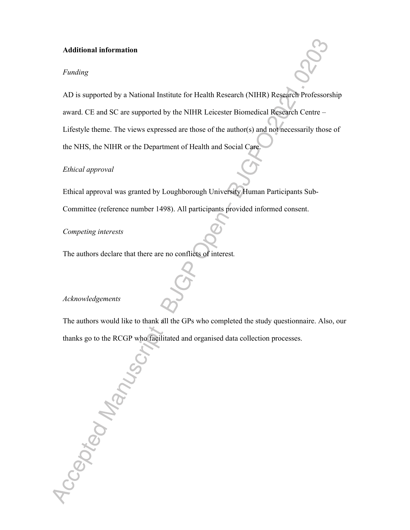## **Additional information**

## *Funding*

AD is supported by a National Institute for Health Research (NIHR) Research Professorship award. CE and SC are supported by the NIHR Leicester Biomedical Research Centre –

Lifestyle theme. The views expressed are those of the author(s) and not necessarily those of the NHS, the NIHR or the Department of Health and Social Care.

## *Ethical approval*

Ethical approval was granted by Loughborough University Human Participants Sub-Committee (reference number 1498). All participants provided informed consent.

*Competing interests* 

The authors declare that there are no conflicts of interest*.*

## *Acknowledgements*

The authors would like to thank all the GPs who completed the study questionnaire. Also, our thanks go to the RCGP who facilitated and organised data collection processes.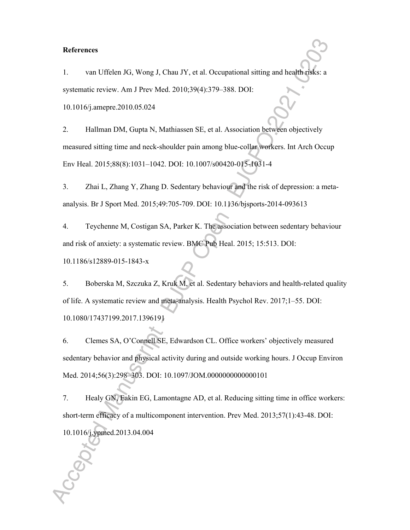#### **References**

1. van Uffelen JG, Wong J, Chau JY, et al. Occupational sitting and health risks: a systematic review. Am J Prev Med. 2010;39(4):379–388. DOI:

10.1016/j.amepre.2010.05.024

2. Hallman DM, Gupta N, Mathiassen SE, et al. Association between objectively measured sitting time and neck-shoulder pain among blue-collar workers. Int Arch Occup Env Heal. 2015;88(8):1031–1042. DOI: 10.1007/s00420-015-1031-4

3. Zhai L, Zhang Y, Zhang D. Sedentary behaviour and the risk of depression: a metaanalysis. Br J Sport Med. 2015;49:705-709. DOI: 10.1136/bjsports-2014-093613

4. Teychenne M, Costigan SA, Parker K. The association between sedentary behaviour and risk of anxiety: a systematic review. BMC Pub Heal. 2015; 15:513. DOI: 10.1186/s12889-015-1843-x

5. Boberska M, Szczuka Z, Kruk M, et al. Sedentary behaviors and health-related quality of life. A systematic review and meta-analysis. Health Psychol Rev. 2017;1–55. DOI: 10.1080/17437199.2017.1396191

6. Clemes SA, O'Connell SE, Edwardson CL. Office workers' objectively measured sedentary behavior and physical activity during and outside working hours. J Occup Environ Med. 2014;56(3):298–303. DOI: 10.1097/JOM.0000000000000101

7. Healy GN, Eakin EG, Lamontagne AD, et al. Reducing sitting time in office workers: short-term efficacy of a multicomponent intervention. Prev Med. 2013;57(1):43-48. DOI: 10.1016/j.ypmed.2013.04.004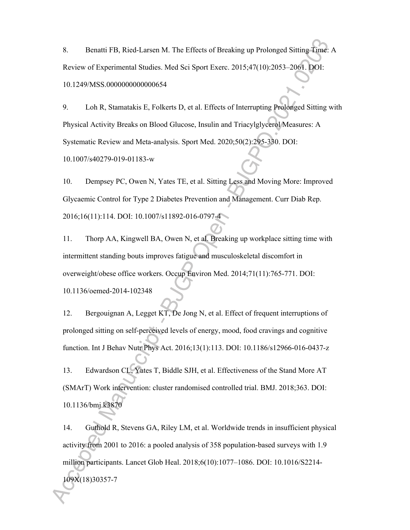8. Benatti FB, Ried-Larsen M. The Effects of Breaking up Prolonged Sitting Time: A Review of Experimental Studies. Med Sci Sport Exerc. 2015;47(10):2053–2061. DOI: 10.1249/MSS.0000000000000654

9. Loh R, Stamatakis E, Folkerts D, et al. Effects of Interrupting Prolonged Sitting with Physical Activity Breaks on Blood Glucose, Insulin and Triacylglycerol Measures: A Systematic Review and Meta-analysis. Sport Med. 2020;50(2):295-330. DOI: 10.1007/s40279-019-01183-w

10. Dempsey PC, Owen N, Yates TE, et al. Sitting Less and Moving More: Improved Glycaemic Control for Type 2 Diabetes Prevention and Management. Curr Diab Rep. 2016;16(11):114. DOI: 10.1007/s11892-016-0797-4

11. Thorp AA, Kingwell BA, Owen N, et al. Breaking up workplace sitting time with intermittent standing bouts improves fatigue and musculoskeletal discomfort in overweight/obese office workers. Occup Environ Med. 2014;71(11):765-771. DOI: 10.1136/oemed-2014-102348

12. Bergouignan A, Legget KT, De Jong N, et al. Effect of frequent interruptions of prolonged sitting on self-perceived levels of energy, mood, food cravings and cognitive function. Int J Behav Nutr Phys Act. 2016;13(1):113. DOI: 10.1186/s12966-016-0437-z

13. Edwardson CL, Yates T, Biddle SJH, et al. Effectiveness of the Stand More AT (SMArT) Work intervention: cluster randomised controlled trial. BMJ. 2018;363. DOI: 10.1136/bmj.k3870

14. Guthold R, Stevens GA, Riley LM, et al. Worldwide trends in insufficient physical activity from 2001 to 2016: a pooled analysis of 358 population-based surveys with 1.9 million participants. Lancet Glob Heal. 2018;6(10):1077–1086. DOI: 10.1016/S2214- 109X(18)30357-7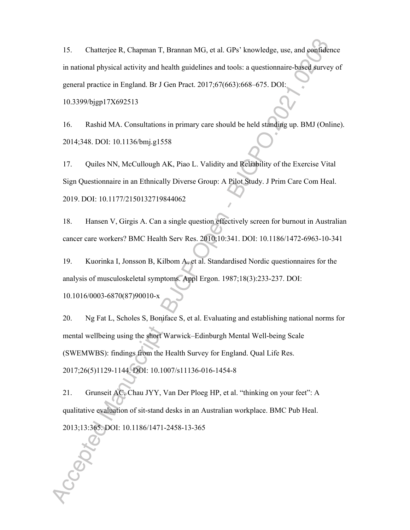15. Chatterjee R, Chapman T, Brannan MG, et al. GPs' knowledge, use, and confidence in national physical activity and health guidelines and tools: a questionnaire-based survey of general practice in England. Br J Gen Pract. 2017;67(663):668–675. DOI:

10.3399/bjgp17X692513

16. Rashid MA. Consultations in primary care should be held standing up. BMJ (Online). 2014;348. DOI: 10.1136/bmj.g1558

17. Quiles NN, McCullough AK, Piao L. Validity and Reliability of the Exercise Vital Sign Questionnaire in an Ethnically Diverse Group: A Pilot Study. J Prim Care Com Heal. 2019. DOI: 10.1177/2150132719844062

18. Hansen V, Girgis A. Can a single question effectively screen for burnout in Australian cancer care workers? BMC Health Serv Res. 2010;10:341. DOI: 10.1186/1472-6963-10-341

19. Kuorinka I, Jonsson B, Kilbom A, et al. Standardised Nordic questionnaires for the analysis of musculoskeletal symptoms. Appl Ergon. 1987;18(3):233-237. DOI:

10.1016/0003-6870(87)90010-x

20. Ng Fat L, Scholes S, Boniface S, et al. Evaluating and establishing national norms for mental wellbeing using the short Warwick–Edinburgh Mental Well-being Scale (SWEMWBS): findings from the Health Survey for England. Qual Life Res. 2017;26(5)1129-1144. DOI: 10.1007/s11136-016-1454-8

21. Grunseit AC, Chau JYY, Van Der Ploeg HP, et al. "thinking on your feet": A qualitative evaluation of sit-stand desks in an Australian workplace. BMC Pub Heal. 2013;13:365. DOI: 10.1186/1471-2458-13-365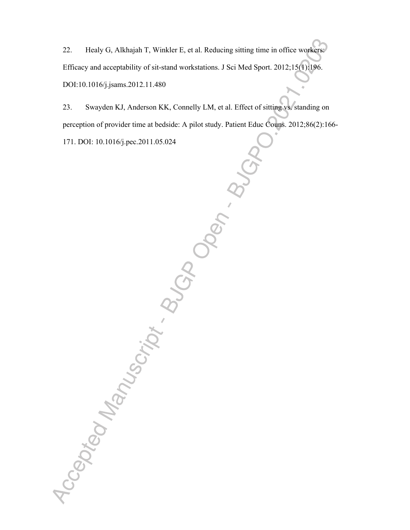22. Healy G, Alkhajah T, Winkler E, et al. Reducing sitting time in office workers: Efficacy and acceptability of sit-stand workstations. J Sci Med Sport. 2012;15(1):196. DOI:10.1016/j.jsams.2012.11.480

23. Swayden KJ, Anderson KK, Connelly LM, et al. Effect of sitting vs. standing on perception of provider time at bedside: A pilot study. Patient Educ Couns. 2012;86(2):166-

171. DOI: 10.1016/j.pec.2011.05.024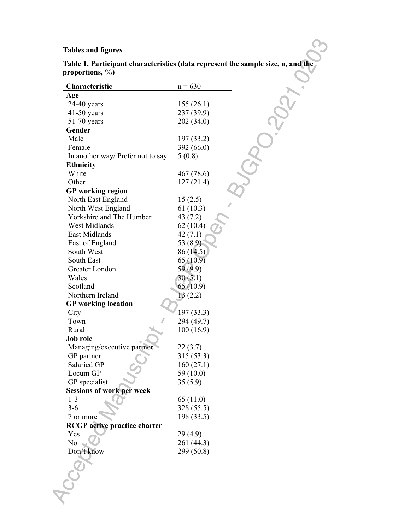## **Tables and figures**

| Characteristic                      | $n = 630$  |
|-------------------------------------|------------|
| Age                                 |            |
| $24-40$ years                       | 155(26.1)  |
| $41-50$ years                       | 237 (39.9) |
| $51-70$ years                       | 202 (34.0) |
| Gender                              |            |
| Male                                | 197 (33.2) |
| Female                              | 392 (66.0) |
| In another way/ Prefer not to say   | 5(0.8)     |
| <b>Ethnicity</b>                    |            |
| White                               | 467 (78.6) |
| Other                               | 127(21.4)  |
|                                     |            |
| <b>GP</b> working region            |            |
| North East England                  | 15(2.5)    |
| North West England                  | 61(10.3)   |
| Yorkshire and The Humber            | 43(7.2)    |
| <b>West Midlands</b>                | 62(10.4)   |
| East Midlands                       | 42(7.1)    |
| East of England                     | 53 (8.9)   |
| South West                          | 86 (14.5)  |
| South East                          | 65(10.9)   |
| Greater London                      | 59 (9.9)   |
| Wales                               | 30(5.1)    |
| Scotland                            | 65(10.9)   |
| Northern Ireland                    | 13(2.2)    |
| <b>GP</b> working location          |            |
| City                                | 197 (33.3) |
| Town                                | 294 (49.7) |
| Rural                               | 100 (16.9) |
| Job role                            |            |
| Managing/executive partner          | 22(3.7)    |
| GP partner                          | 315 (53.3) |
| Salaried GP                         | 160(27.1)  |
| Locum GP                            | 59 (10.0)  |
| GP specialist                       | 35(5.9)    |
|                                     |            |
| <b>Sessions of work per week</b>    |            |
| $1 - 3$                             | 65 (11.0)  |
| $3 - 6$                             | 328 (55.5) |
| 7 or more                           | 198 (33.5) |
| <b>RCGP</b> active practice charter |            |
| Yes                                 | 29(4.9)    |
| No                                  | 261 (44.3) |
| Don't know                          | 299 (50.8) |
|                                     |            |
|                                     |            |
|                                     |            |
|                                     |            |
|                                     |            |

**Table 1. Participant characteristics (data represent the sample size, n, and the proportions, %)**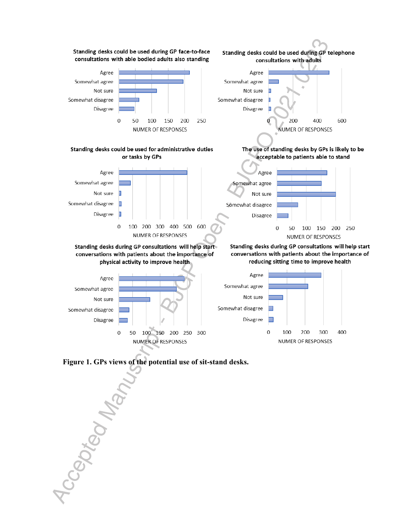

Accepted Manu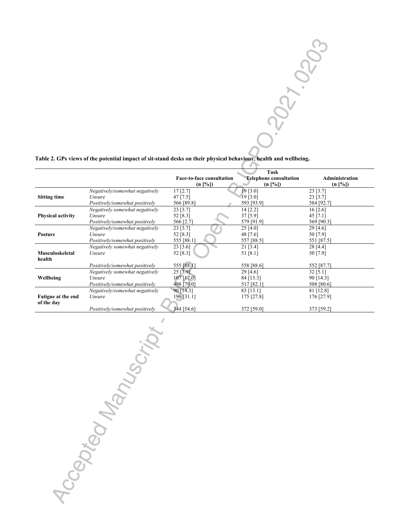

#### **Table 2. GPs views of the potential impact of sit-stand desks on their physical behaviour, health and wellbeing.**

|                          |                                | Task                             |             |                                                        |  |
|--------------------------|--------------------------------|----------------------------------|-------------|--------------------------------------------------------|--|
|                          |                                | <b>Face-to-face consultation</b> |             | <b>Telephone consultation</b><br><b>Administration</b> |  |
|                          |                                | $(n \,  \%])$                    |             | $(n \,   \, \%)$<br>$(n \,   \%])$                     |  |
|                          | Negatively/somewhat negatively | 17 [2.7]                         | 19 [3.0]    | 23 [3.7]                                               |  |
| <b>Sitting time</b>      | Unsure                         | $47$ [7.5]                       | 19 [3.0]    | $23$ [3.7]                                             |  |
|                          | Positively/somewhat positively | 566 [89.8]                       | 593 [93.9]  | 584 [92.7]                                             |  |
|                          | Negatively somewhat negatively | $23$ [3.7]                       | 14 [2.2]    | $16$ [2.6]                                             |  |
| <b>Physical activity</b> | Unsure                         | 52 [8.3]                         | $37$ [5.9]  | 45 $[7.1]$                                             |  |
|                          | Positively/somewhat positively | 566 [2.7]                        | 579 [91.9]  | 569 [90.3]                                             |  |
|                          | Negatively/somewhat negatively | 23 [3.7]                         | 25[4.0]     | 29[4.6]                                                |  |
| <b>Posture</b>           | Unsure                         | 52 $[8.3]$                       | 48 [7.6]    | 50 [7.9]                                               |  |
|                          | Positively/somewhat positively | 555 [88.1]                       | 557 [88.5]  | 551 [87.5]                                             |  |
|                          | Negatively somewhat negatively | 23 [3.6]                         | $21$ [3.4]  | 28 [4.4]                                               |  |
| Musculoskeletal          | Unsure                         | 52 [8.3]                         | 51 [8.1]    | 50 [7.9]                                               |  |
| health                   |                                |                                  |             |                                                        |  |
|                          | Positively/somewhat positively | 555 [88.1]                       | 558 [88.6]  | 552 [87.7]                                             |  |
|                          | Negatively somewhat negatively | 25 [3.9]                         | $29$ [4.6]  | $32$ [5.1]                                             |  |
| Wellbeing                | Unsure                         | 107 [17.0]                       | 84 [13.3]   | 90 [14.3]                                              |  |
|                          | Positively/somewhat positively | 498 [79.0]                       | 517 [82.1]  | 508 [80.6]                                             |  |
|                          | Negatively/somewhat negatively | 90 [14.3]                        | $83$ [13.1] | $81$ [12.8]                                            |  |
| Fatigue at the end       | Unsure                         | 196 [31.1]                       | 175 [27.8]  | 176 [27.9]                                             |  |
| of the day               |                                |                                  |             |                                                        |  |
|                          | Positively/somewhat positively | 344 [54.6]                       | 372 [59.0]  | 373 [59.2]                                             |  |
|                          |                                |                                  |             |                                                        |  |

Accepted Manuscript